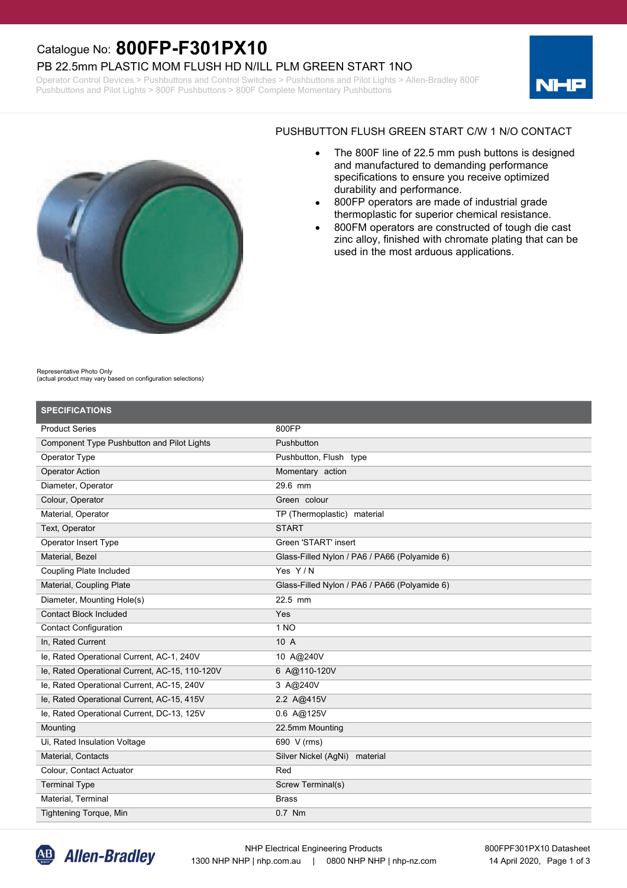## Catalogue No: **800FP-F301PX10**

#### PB 22.5mm PLASTIC MOM FLUSH HD N/ILL PLM GREEN START 1NO

Operator Control Devices > Pushbuttons and Control Switches > Pushbuttons and Pilot Lights > Allen-Bradley 800F Pushbuttons and Pilot Lights > 800F Pushbuttons > 800F Complete Momentary Pushbuttons





#### PUSHBUTTON FLUSH GREEN START C/W 1 N/O CONTACT

- · The 800F line of 22.5 mm push buttons is designed and manufactured to demanding performance specifications to ensure you receive optimized durability and performance.
- · 800FP operators are made of industrial grade thermoplastic for superior chemical resistance.
- 800FM operators are constructed of tough die cast zinc alloy, finished with chromate plating that can be used in the most arduous applications.

Representative Photo Only

(actual product may vary based on configuration selections)

| <b>SPECIFICATIONS</b>                          |                                               |
|------------------------------------------------|-----------------------------------------------|
| <b>Product Series</b>                          | 800FP                                         |
| Component Type Pushbutton and Pilot Lights     | Pushbutton                                    |
| Operator Type                                  | Pushbutton, Flush type                        |
| <b>Operator Action</b>                         | Momentary action                              |
| Diameter, Operator                             | 29.6 mm                                       |
| Colour, Operator                               | Green colour                                  |
| Material, Operator                             | TP (Thermoplastic) material                   |
| Text, Operator                                 | <b>START</b>                                  |
| Operator Insert Type                           | Green 'START' insert                          |
| Material, Bezel                                | Glass-Filled Nylon / PA6 / PA66 (Polyamide 6) |
| <b>Coupling Plate Included</b>                 | Yes Y/N                                       |
| Material, Coupling Plate                       | Glass-Filled Nylon / PA6 / PA66 (Polyamide 6) |
| Diameter, Mounting Hole(s)                     | 22.5 mm                                       |
| <b>Contact Block Included</b>                  | Yes                                           |
| <b>Contact Configuration</b>                   | 1 NO                                          |
| In, Rated Current                              | 10 A                                          |
| le, Rated Operational Current, AC-1, 240V      | 10 A@240V                                     |
| le, Rated Operational Current, AC-15, 110-120V | 6 A@110-120V                                  |
| le, Rated Operational Current, AC-15, 240V     | 3 A@240V                                      |
| le, Rated Operational Current, AC-15, 415V     | 2.2 A@415V                                    |
| le, Rated Operational Current, DC-13, 125V     | $0.6$ A@125V                                  |
| Mounting                                       | 22.5mm Mounting                               |
| Ui, Rated Insulation Voltage                   | 690 V (rms)                                   |
| Material, Contacts                             | Silver Nickel (AgNi) material                 |
| Colour, Contact Actuator                       | Red                                           |
| <b>Terminal Type</b>                           | Screw Terminal(s)                             |
| Material, Terminal                             | <b>Brass</b>                                  |
| <b>Tightening Torque, Min</b>                  | 0.7 Nm                                        |

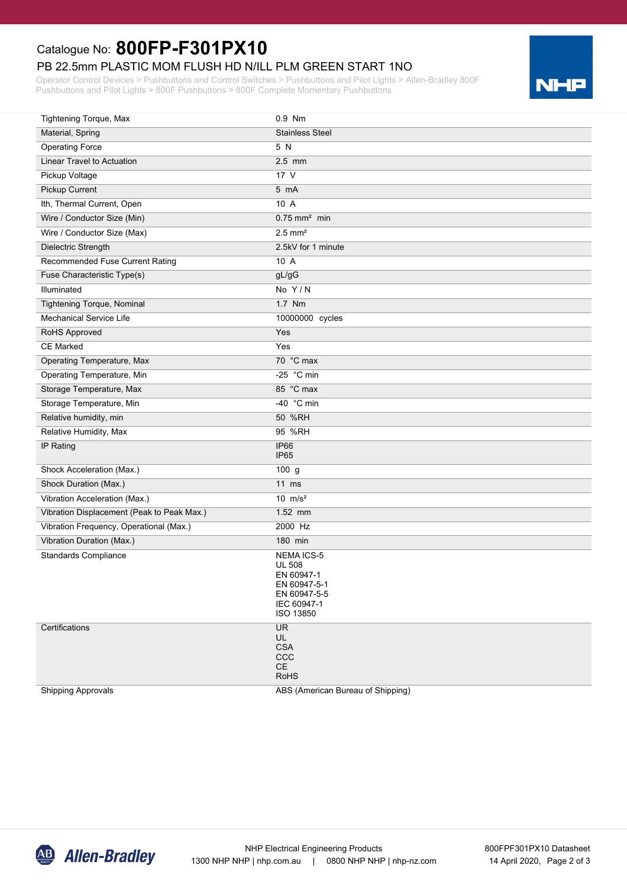# Catalogue No: **800FP-F301PX10**

## PB 22.5mm PLASTIC MOM FLUSH HD N/ILL PLM GREEN START 1NO

Operator Control Devices > Pushbuttons and Control Switches > Pushbuttons and Pilot Lights > Allen-Bradley 800F Pushbuttons and Pilot Lights > 800F Pushbuttons > 800F Complete Momentary Pushbuttons



| Tightening Torque, Max                     | 0.9 Nm                                                                                                       |
|--------------------------------------------|--------------------------------------------------------------------------------------------------------------|
| Material, Spring                           | <b>Stainless Steel</b>                                                                                       |
| <b>Operating Force</b>                     | 5 N                                                                                                          |
| Linear Travel to Actuation                 | $2.5$ mm                                                                                                     |
| Pickup Voltage                             | 17 <sup>V</sup>                                                                                              |
| Pickup Current                             | 5 mA                                                                                                         |
| Ith, Thermal Current, Open                 | 10 A                                                                                                         |
| Wire / Conductor Size (Min)                | $0.75$ mm <sup>2</sup> min                                                                                   |
| Wire / Conductor Size (Max)                | $2.5$ mm <sup>2</sup>                                                                                        |
| Dielectric Strength                        | 2.5kV for 1 minute                                                                                           |
| Recommended Fuse Current Rating            | 10 A                                                                                                         |
| Fuse Characteristic Type(s)                | gL/gG                                                                                                        |
| Illuminated                                | No Y/N                                                                                                       |
| <b>Tightening Torque, Nominal</b>          | 1.7 Nm                                                                                                       |
| <b>Mechanical Service Life</b>             | 10000000 cycles                                                                                              |
| RoHS Approved                              | Yes                                                                                                          |
| <b>CE Marked</b>                           | Yes                                                                                                          |
| Operating Temperature, Max                 | 70 °C max                                                                                                    |
| Operating Temperature, Min                 | -25 $\degree$ C min                                                                                          |
| Storage Temperature, Max                   | 85 °C max                                                                                                    |
| Storage Temperature, Min                   | -40 °C min                                                                                                   |
| Relative humidity, min                     | 50 %RH                                                                                                       |
| Relative Humidity, Max                     | 95 %RH                                                                                                       |
| IP Rating                                  | IP66<br>IP <sub>65</sub>                                                                                     |
| Shock Acceleration (Max.)                  | 100g                                                                                                         |
| Shock Duration (Max.)                      | $11$ ms                                                                                                      |
| Vibration Acceleration (Max.)              | 10 $m/s2$                                                                                                    |
| Vibration Displacement (Peak to Peak Max.) | 1.52 mm                                                                                                      |
| Vibration Frequency, Operational (Max.)    | 2000 Hz                                                                                                      |
| Vibration Duration (Max.)                  | 180 min                                                                                                      |
| <b>Standards Compliance</b>                | <b>NEMA ICS-5</b><br><b>UL 508</b><br>EN 60947-1<br>EN 60947-5-1<br>EN 60947-5-5<br>IEC 60947-1<br>ISO 13850 |
| Certifications                             | <b>UR</b><br>UL<br><b>CSA</b><br>CCC<br>CE<br><b>RoHS</b>                                                    |

Shipping Approvals

ABS (American Bureau of Shipping)